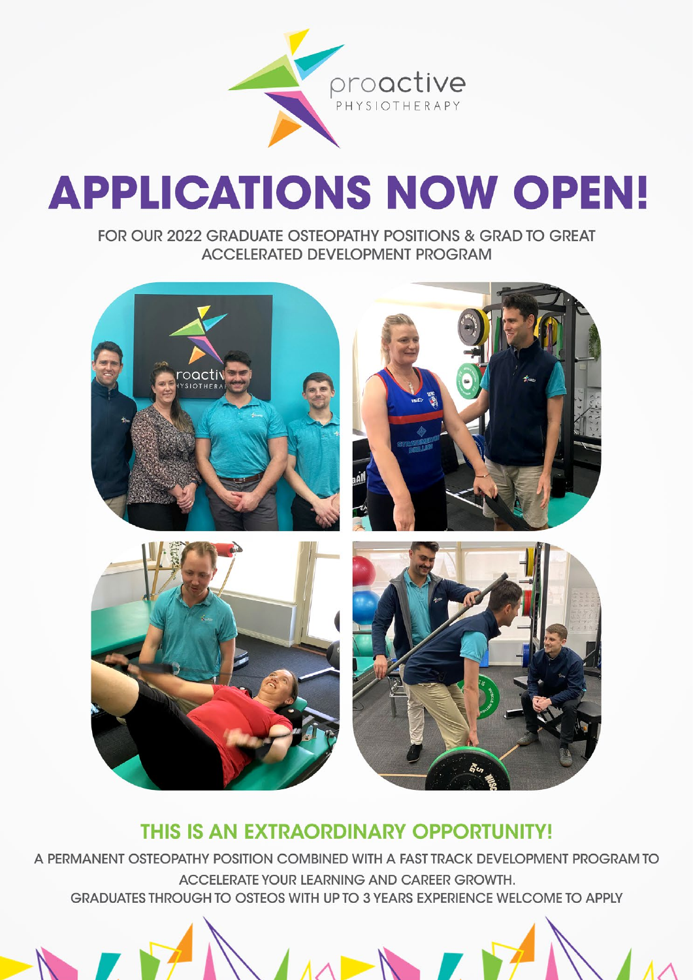

# **APPLICATIONS NOW OPEN!**

FOR OUR 2022 GRADUATE OSTEOPATHY POSITIONS & GRAD TO GREAT **ACCELERATED DEVELOPMENT PROGRAM** 



### THIS IS AN EXTRAORDINARY OPPORTUNITY!

A PERMANENT OSTEOPATHY POSITION COMBINED WITH A FAST TRACK DEVELOPMENT PROGRAM TO ACCELERATE YOUR LEARNING AND CAREER GROWTH. GRADUATES THROUGH TO OSTEOS WITH UP TO 3 YEARS EXPERIENCE WELCOME TO APPLY

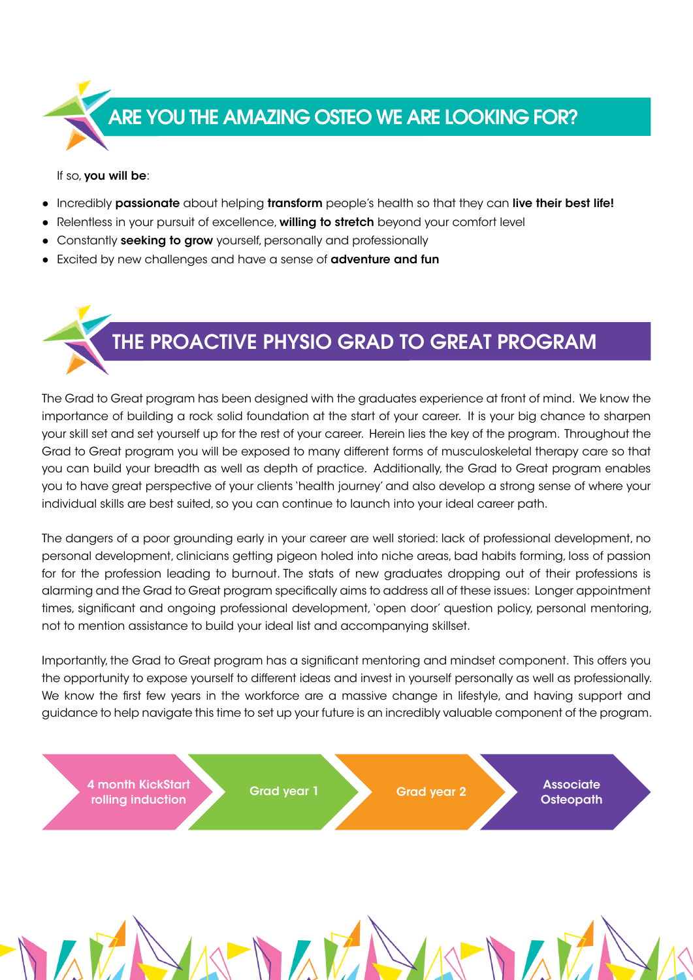

If so, you will be:

- Incredibly passionate about helping transform people's health so that they can live their best life!
- Relentless in your pursuit of excellence, willing to stretch beyond your comfort level
- Constantly seeking to grow yourself, personally and professionally
- Excited by new challenges and have a sense of **adventure and fun**



The Grad to Great program has been designed with the graduates experience at front of mind. We know the importance of building a rock solid foundation at the start of your career. It is your big chance to sharpen your skill set and set yourself up for the rest of your career. Herein lies the key of the program. Throughout the Grad to Great program you will be exposed to many different forms of musculoskeletal therapy care so that you can build your breadth as well as depth of practice. Additionally, the Grad to Great program enables you to have great perspective of your clients 'health journey' and also develop a strong sense of where your individual skills are best suited, so you can continue to launch into your ideal career path.

The dangers of a poor grounding early in your career are well storied: lack of professional development, no personal development, clinicians getting pigeon holed into niche areas, bad habits forming, loss of passion for for the profession leading to burnout. The stats of new graduates dropping out of their professions is alarming and the Grad to Great program specifically aims to address all of these issues: Longer appointment times, significant and ongoing professional development, 'open door' question policy, personal mentoring, not to mention assistance to build your ideal list and accompanying skillset.

Importantly, the Grad to Great program has a significant mentoring and mindset component. This offers you the opportunity to expose yourself to different ideas and invest in yourself personally as well as professionally. We know the first few years in the workforce are a massive change in lifestyle, and having support and guidance to help navigate this time to set up your future is an incredibly valuable component of the program.

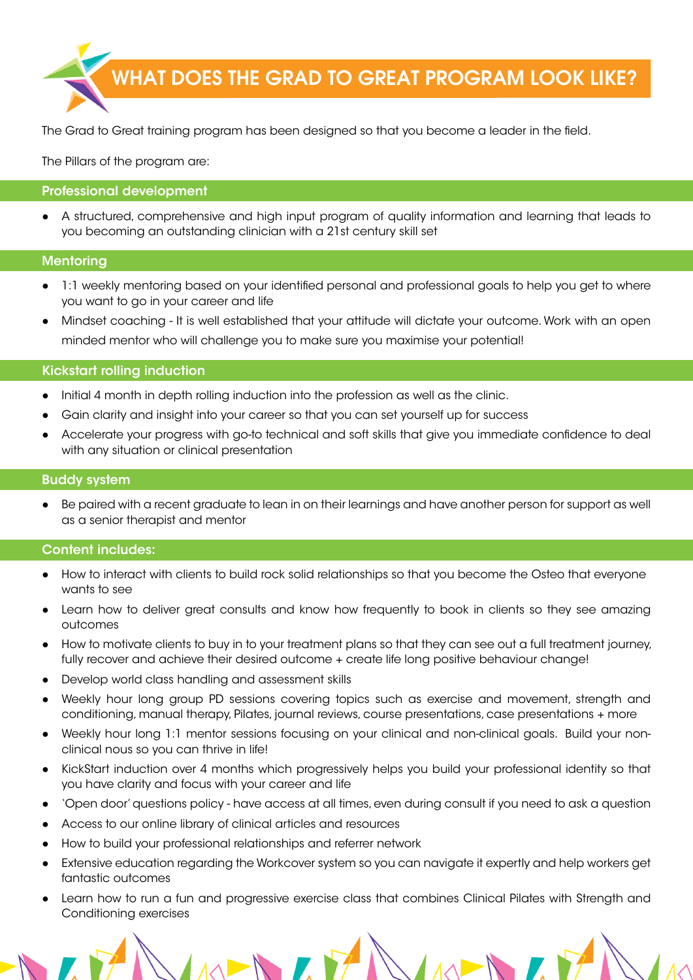

The Grad to Great training program has been designed so that you become a leader in the field.

The Pillars of the program are:

#### Professional development

A structured, comprehensive and high input program of quality information and learning that leads to you becoming an outstanding clinician with a 21st century skill set

#### **Mentoring**

- 1:1 weekly mentoring based on your identified personal and professional goals to help you get to where you want to go in your career and life
- Mindset coaching It is well established that your attitude will dictate your outcome. Work with an open minded mentor who will challenge you to make sure you maximise your potential!

#### Kickstart rolling induction

- Initial 4 month in depth rolling induction into the profession as well as the clinic.
- Gain clarity and insight into your career so that you can set yourself up for success
- Accelerate your progress with go-to technical and soft skills that give you immediate confidence to deal with any situation or clinical presentation

#### Buddy system

Be paired with a recent graduate to lean in on their learnings and have another person for support as well as a senior therapist and mentor

#### Content includes:

- How to interact with clients to build rock solid relationships so that you become the Osteo that everyone wants to see
- Learn how to deliver great consults and know how frequently to book in clients so they see amazing outcomes
- How to motivate clients to buy in to your treatment plans so that they can see out a full treatment journey, fully recover and achieve their desired outcome + create life long positive behaviour change!
- Develop world class handling and assessment skills
- Weekly hour long group PD sessions covering topics such as exercise and movement, strength and conditioning, manual therapy, Pilates, journal reviews, course presentations, case presentations + more
- Weekly hour long 1:1 mentor sessions focusing on your clinical and non-clinical goals. Build your nonclinical nous so you can thrive in life!
- KickStart induction over 4 months which progressively helps you build your professional identity so that you have clarity and focus with your career and life
- 'Open door' questions policy have access at all times, even during consult if you need to ask a question
- Access to our online library of clinical articles and resources
- How to build your professional relationships and referrer network
- Extensive education regarding the Workcover system so you can navigate it expertly and help workers get fantastic outcomes
- Learn how to run a fun and progressive exercise class that combines Clinical Pilates with Strength and Conditioning exercises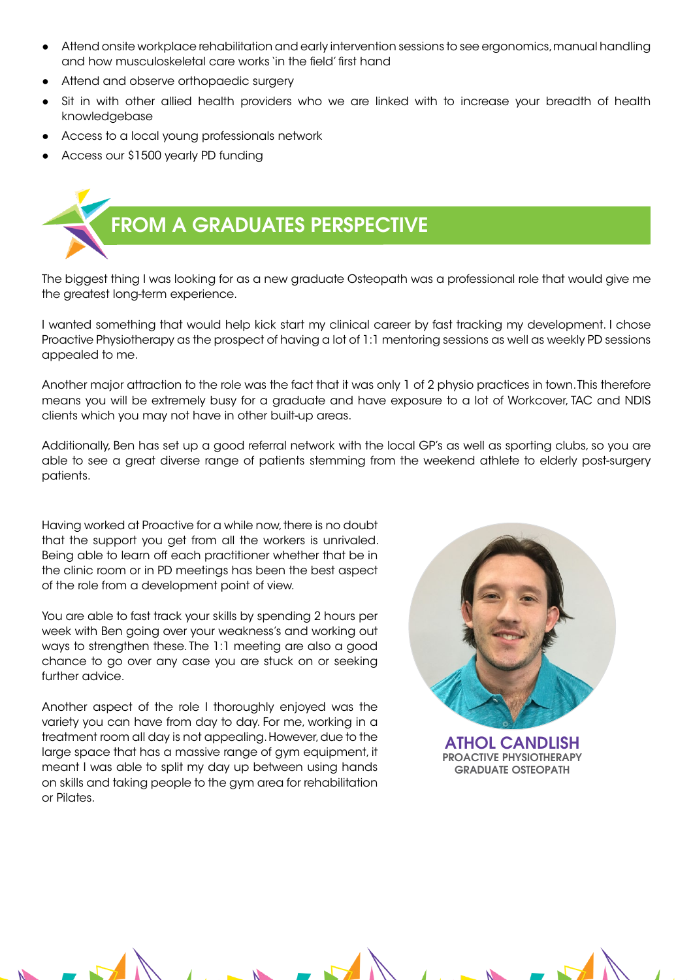- Attend onsite workplace rehabilitation and early intervention sessions to see ergonomics, manual handling and how musculoskeletal care works 'in the field' first hand
- Attend and observe orthopaedic surgery
- Sit in with other allied health providers who we are linked with to increase your breadth of health knowledgebase
- Access to a local young professionals network
- Access our \$1500 yearly PD funding



The biggest thing I was looking for as a new graduate Osteopath was a professional role that would give me the greatest long-term experience.

I wanted something that would help kick start my clinical career by fast tracking my development. I chose Proactive Physiotherapy as the prospect of having a lot of 1:1 mentoring sessions as well as weekly PD sessions appealed to me.

Another major attraction to the role was the fact that it was only 1 of 2 physio practices in town. This therefore means you will be extremely busy for a graduate and have exposure to a lot of Workcover, TAC and NDIS clients which you may not have in other built-up areas.

Additionally, Ben has set up a good referral network with the local GP's as well as sporting clubs, so you are able to see a great diverse range of patients stemming from the weekend athlete to elderly post-surgery patients.

Having worked at Proactive for a while now, there is no doubt that the support you get from all the workers is unrivaled. Being able to learn off each practitioner whether that be in the clinic room or in PD meetings has been the best aspect of the role from a development point of view.

You are able to fast track your skills by spending 2 hours per week with Ben going over your weakness's and working out ways to strengthen these. The 1:1 meeting are also a good chance to go over any case you are stuck on or seeking further advice.

Another aspect of the role I thoroughly enjoyed was the variety you can have from day to day. For me, working in a treatment room all day is not appealing. However, due to the large space that has a massive range of gym equipment, it meant I was able to split my day up between using hands on skills and taking people to the gym area for rehabilitation or Pilates.



ATHOL CANDLISH PROACTIVE PHYSIOTHERAPY GRADUATE OSTEOPATH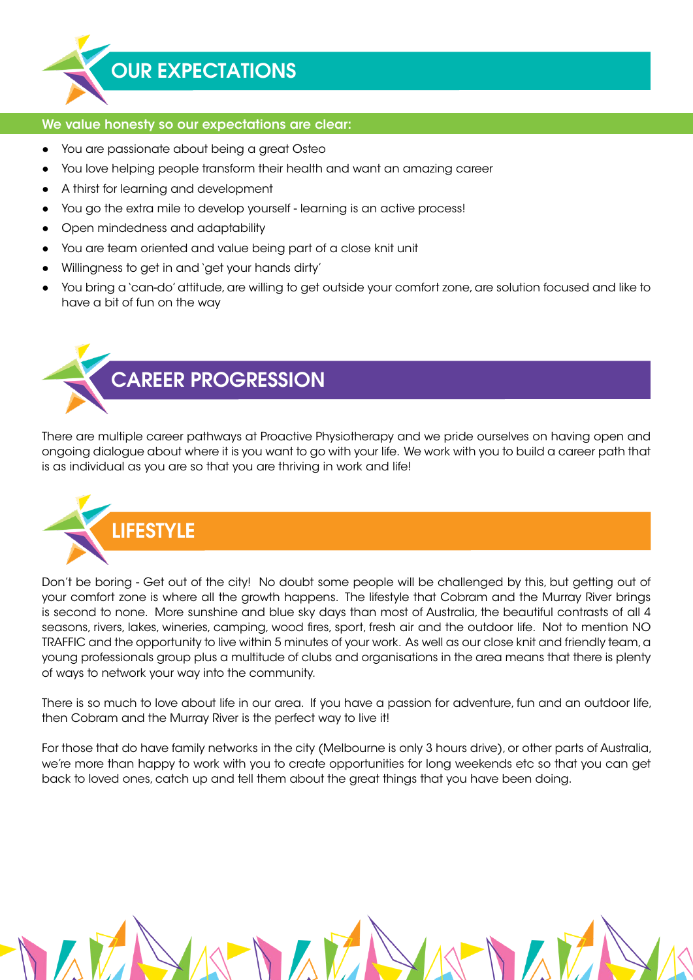

## OUR EXPECTATIONS

#### We value honesty so our expectations are clear:

- You are passionate about being a great Osteo
- You love helping people transform their health and want an amazing career
- A thirst for learning and development
- You go the extra mile to develop yourself learning is an active process!
- Open mindedness and adaptability
- You are team oriented and value being part of a close knit unit
- Willingness to get in and 'get your hands dirty'
- You bring a 'can-do' attitude, are willing to get outside your comfort zone, are solution focused and like to have a bit of fun on the way



There are multiple career pathways at Proactive Physiotherapy and we pride ourselves on having open and ongoing dialogue about where it is you want to go with your life. We work with you to build a career path that is as individual as you are so that you are thriving in work and life!



Don't be boring - Get out of the city! No doubt some people will be challenged by this, but getting out of your comfort zone is where all the growth happens. The lifestyle that Cobram and the Murray River brings is second to none. More sunshine and blue sky days than most of Australia, the beautiful contrasts of all 4 seasons, rivers, lakes, wineries, camping, wood fires, sport, fresh air and the outdoor life. Not to mention NO TRAFFIC and the opportunity to live within 5 minutes of your work. As well as our close knit and friendly team, a young professionals group plus a multitude of clubs and organisations in the area means that there is plenty of ways to network your way into the community.

There is so much to love about life in our area. If you have a passion for adventure, fun and an outdoor life, then Cobram and the Murray River is the perfect way to live it!

For those that do have family networks in the city (Melbourne is only 3 hours drive), or other parts of Australia, we're more than happy to work with you to create opportunities for long weekends etc so that you can get back to loved ones, catch up and tell them about the great things that you have been doing.